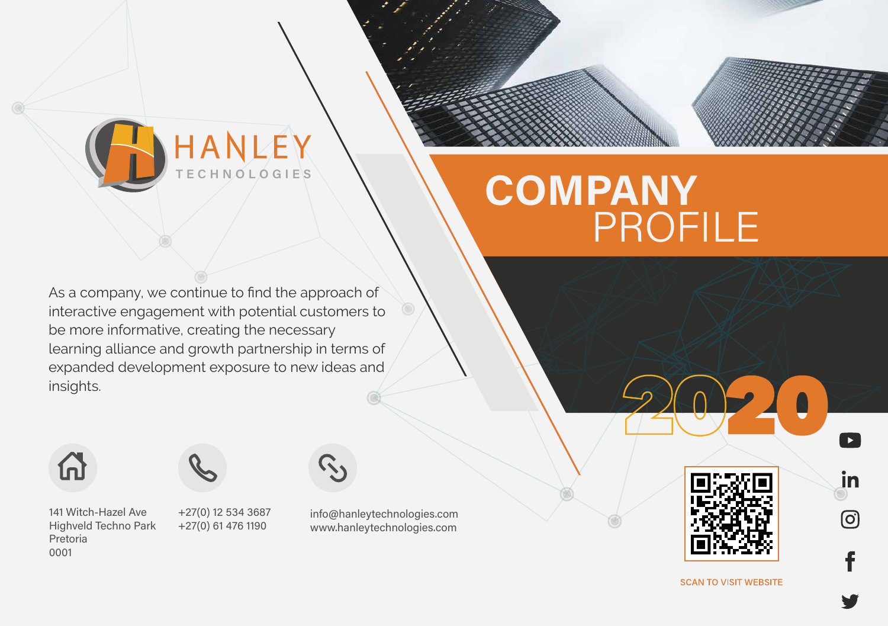

## TECHNOLOGIE'S \\\COMPANY PROFILE

As a company, we continue to find the approach of interactive engagement with potential customers to be more informative, creating the necessary learning alliance and growth partnership in terms of expanded development exposure to new ideas and insights.





141 Witch-Hazel Ave **Highveld Techno Park** Pretoria 0001

+27(0) 12 534 3687 +27(0) 61 476 1190



info@hanleytechnologies.com www.hanleytechnologies.com



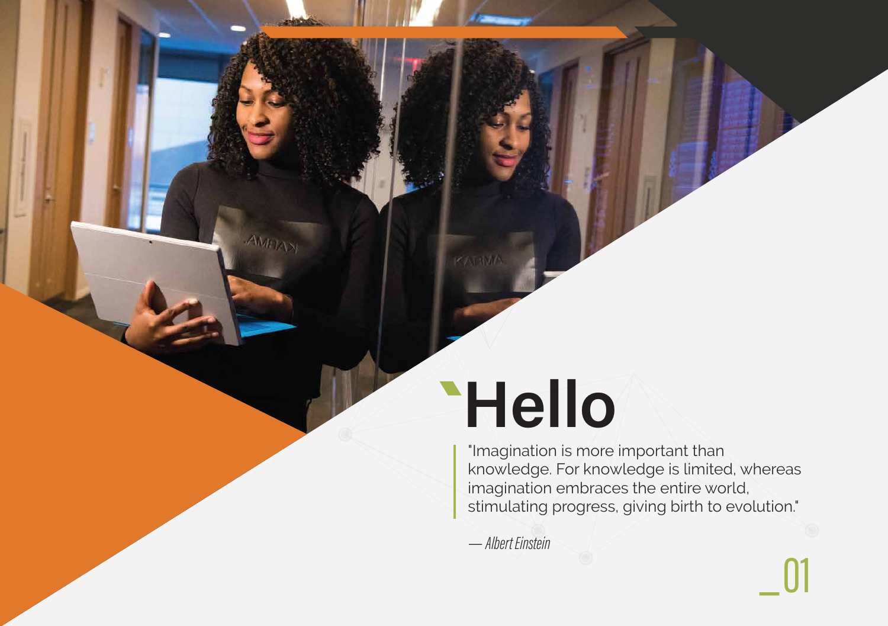# **Hello**

KATIMA

 $AWFL\lambda$ 

"Imagination is more important than knowledge. For knowledge is limited, whereas imagination embraces the entire world, stimulating progress, giving birth to evolution."

— Albert Einstein



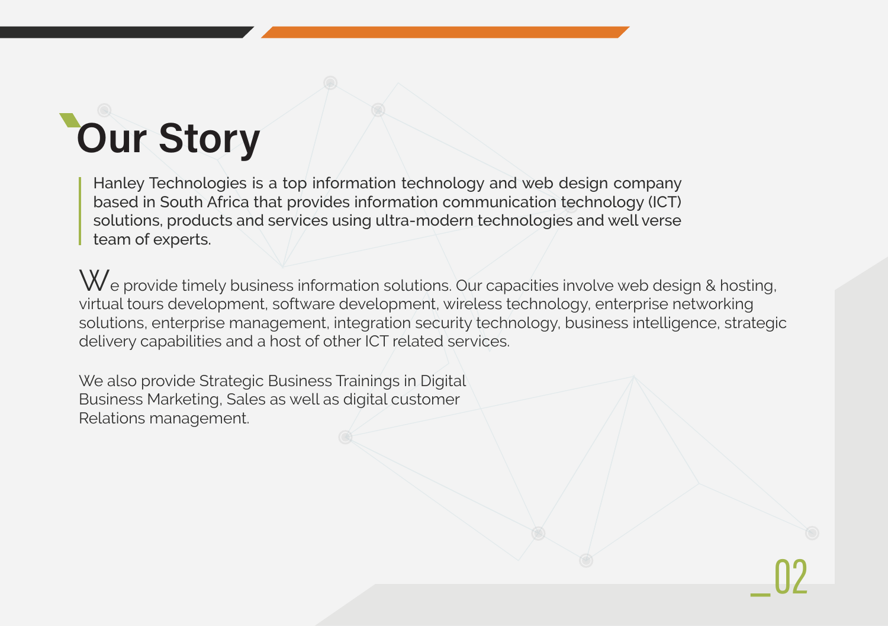# **Our Story**

Hanley Technologies is a top information technology and web design company based in South Africa that provides information communication technology (ICT) solutions, products and services using ultra-modern technologies and well verse team of experts.

We provide timely business information solutions. Our capacities involve web design & hosting, virtual tours development, software development, wireless technology, enterprise networking solutions, enterprise management, integration security technology, business intelligence, strategic delivery capabilities and a host of other ICT related services.

We also provide Strategic Business Trainings in Digital Business Marketing, Sales as well as digital customer Relations management.



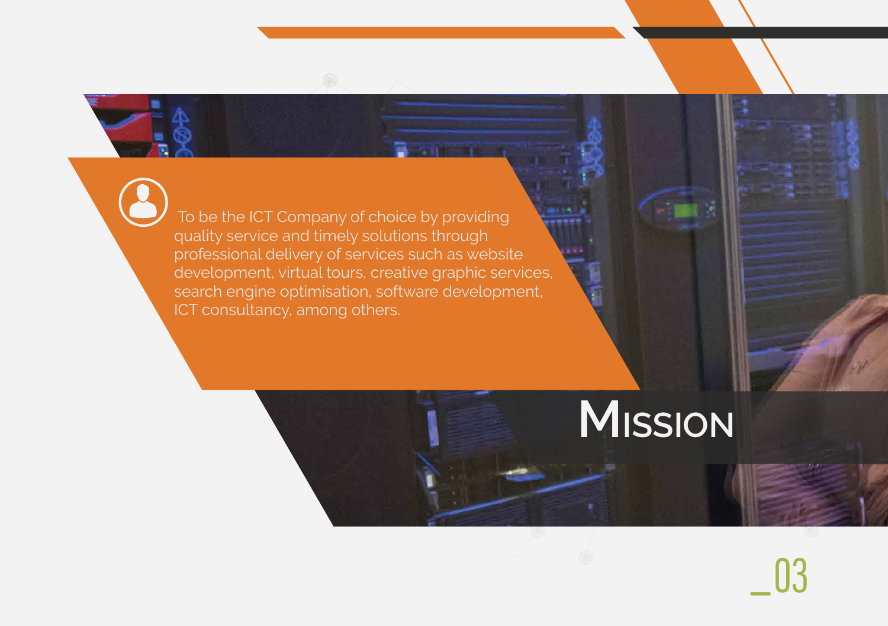# \_

 To be the ICT Company of choice by providing quality service and timely solutions through professional delivery of services such as website development, virtual tours, creative graphic services, search engine optimisation, software development, ICT consultancy, among others.

# **MISSION**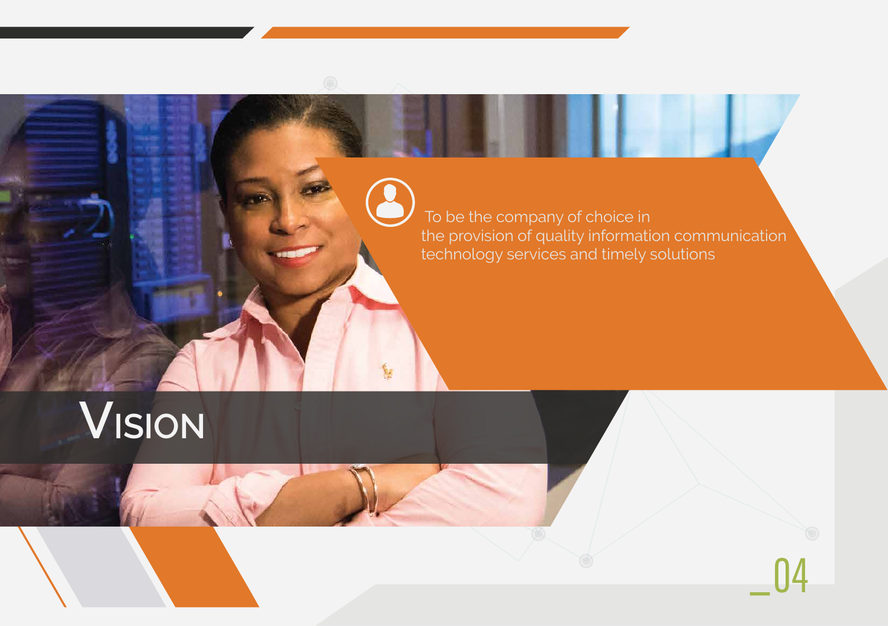

# **VISION**

 To be the company of choice in the provision of quality information communication technology services and timely solutions

Ñ.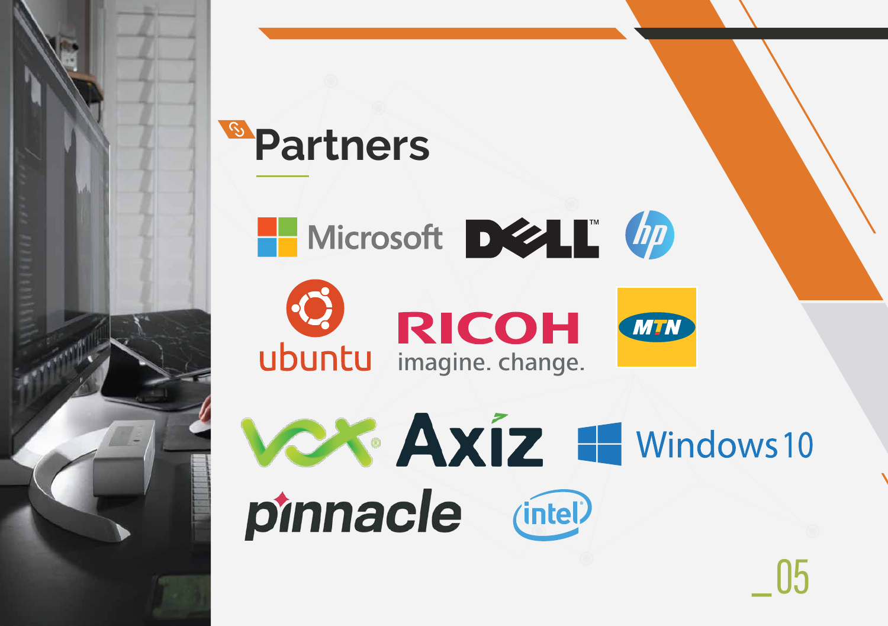

### **Solution Partner Partners**



pinnacle (intel)



# \_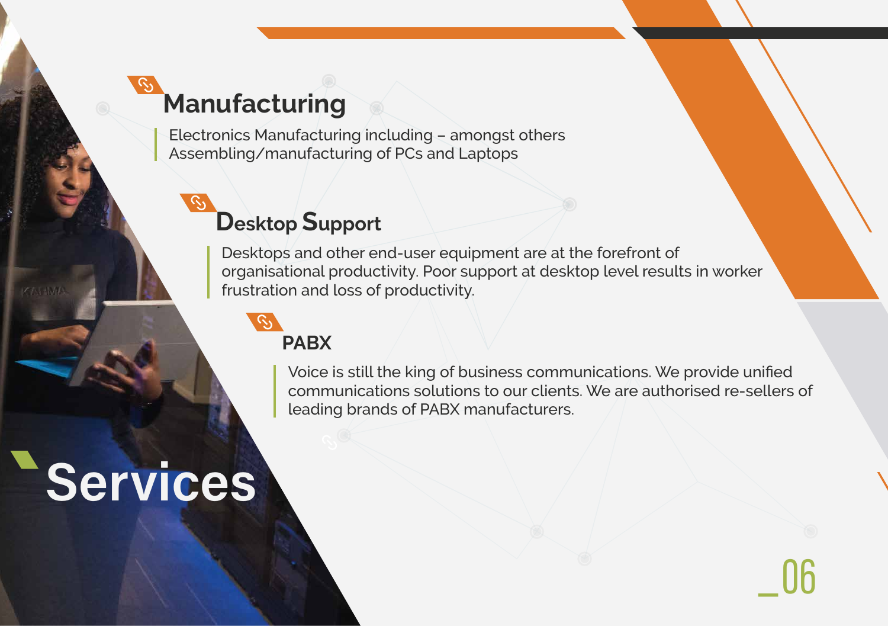

Desktops and other end-user equipment are at the forefront of organisational productivity. Poor support at desktop level results in worker frustration and loss of productivity.

## **Desktop Support**

Voice is still the king of business communications. We provide unified communications solutions to our clients. We are authorised re-sellers of leading brands of PABX manufacturers.

# Services

KAJAMA



#### **PABX**

Electronics Manufacturing including – amongst others Assembling/manufacturing of PCs and Laptops

## **Manufacturing**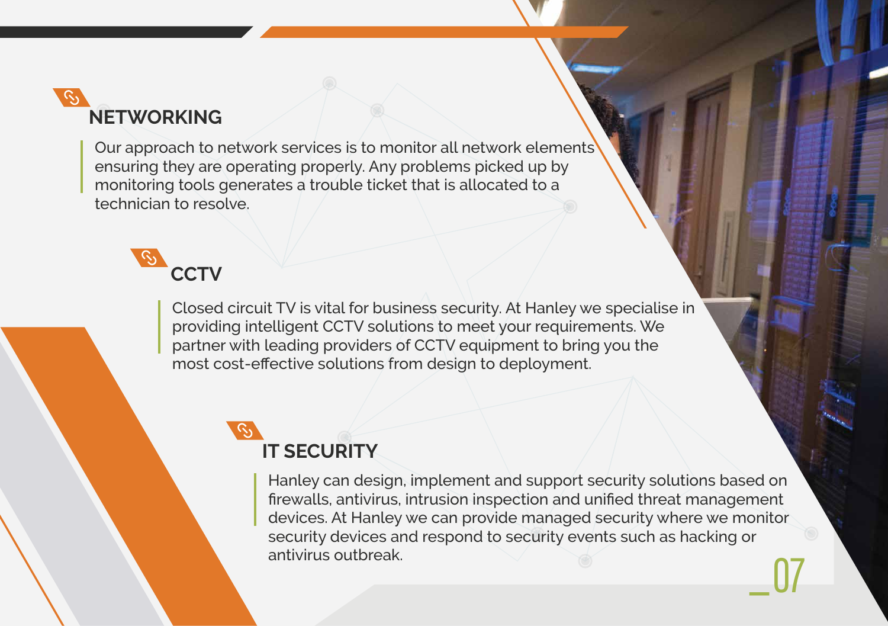Our approach to network services is to monitor all network elements ensuring they are operating properly. Any problems picked up by monitoring tools generates a trouble ticket that is allocated to a technician to resolve.

## **CCTV**

Closed circuit TV is vital for business security. At Hanley we specialise in providing intelligent CCTV solutions to meet your requirements. We partner with leading providers of CCTV equipment to bring you the most cost-effective solutions from design to deployment.

> \_ Hanley can design, implement and support security solutions based on firewalls, antivirus, intrusion inspection and unified threat management devices. At Hanley we can provide managed security where we monitor security devices and respond to security events such as hacking or antivirus outbreak.

## **NETWORKING**

## **IT SECURITY**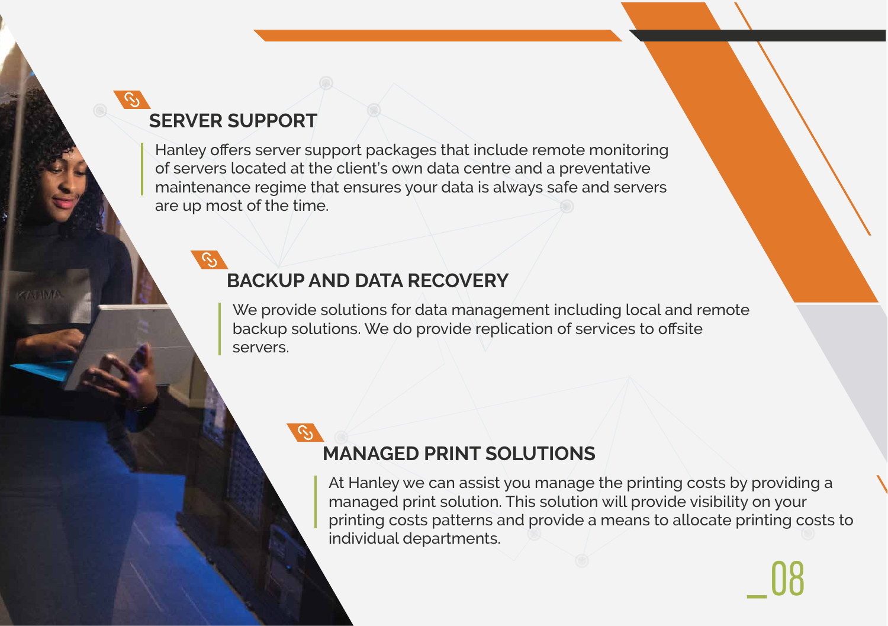$\mu$  liairite rance regime triat ensures your data is always sare an  $\alpha$  cannot we can be called in the case of  $\alpha$  beautiful cannot sell is like a beautiful car that  $\alpha$ Hanley offers server support packages that include remote monitoring of servers located at the client's own data centre and a preventative maintenance regime that ensures your data is always safe and servers are up most of the time.

# \_

#### **SERVER SUPPORT**

**CAST HAVAR** 

 $\overline{\phantom{a}}$ 

We provide solutions for data management including local and remote backup solutions. We do provide replication of services to offsite servers.

#### **BACKUP AND DATA RECOVERY**

At Hanley we can assist you manage the printing costs by providing a managed print solution. This solution will provide visibility on your printing costs patterns and provide a means to allocate printing costs to individual departments.

#### **MANAGED PRINT SOLUTIONS**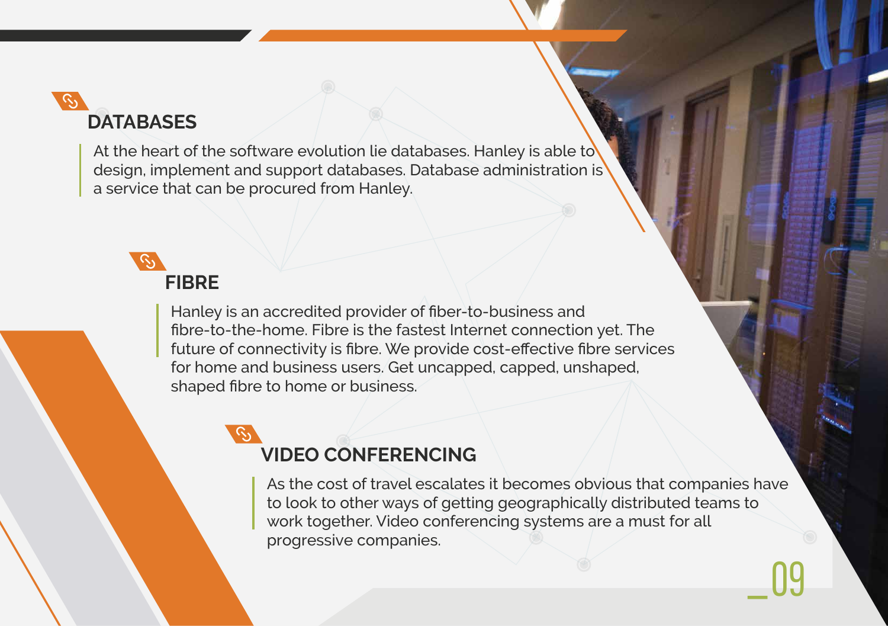\_

At the heart of the software evolution lie databases. Hanley is able to design, implement and support databases. Database administration is a service that can be procured from Hanley.

## **DATABASES**

Hanley is an accredited provider of fiber-to-business and fibre-to-the-home. Fibre is the fastest Internet connection yet. The future of connectivity is fibre. We provide cost-effective fibre services for home and business users. Get uncapped, capped, unshaped, shaped fibre to home or business.

## **FIBRE**

As the cost of travel escalates it becomes obvious that companies have to look to other ways of getting geographically distributed teams to work together. Video conferencing systems are a must for all progressive companies.

### **VIDEO CONFERENCING**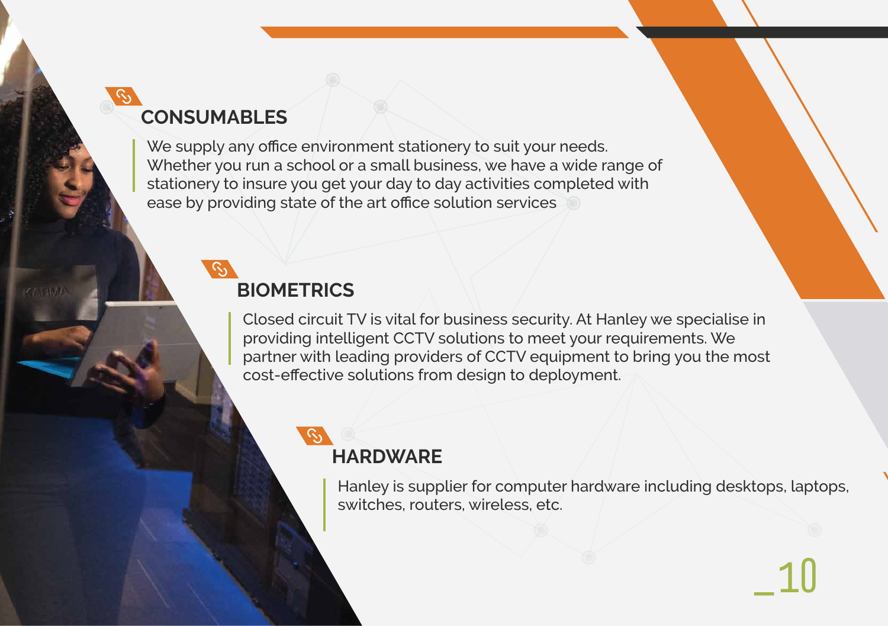

Hanley is supplier for computer hardware including desktops, laptops, switches, routers, wireless, etc.



would y to msule you get your day to day activities completed  $\sigma$  by providing state of the art office solution services We supply any office environment stationery to suit your needs. Whether you run a school or a small business, we have a wide range of stationery to insure you get your day to day activities completed with ease by providing state of the art office solution services

#### **HARDWARE**

### **CONSUMABLES**

KAJAMA

Closed circuit TV is vital for business security. At Hanley we specialise in providing intelligent CCTV solutions to meet your requirements. We partner with leading providers of CCTV equipment to bring you the most cost-effective solutions from design to deployment.

### **BIOMETRICS**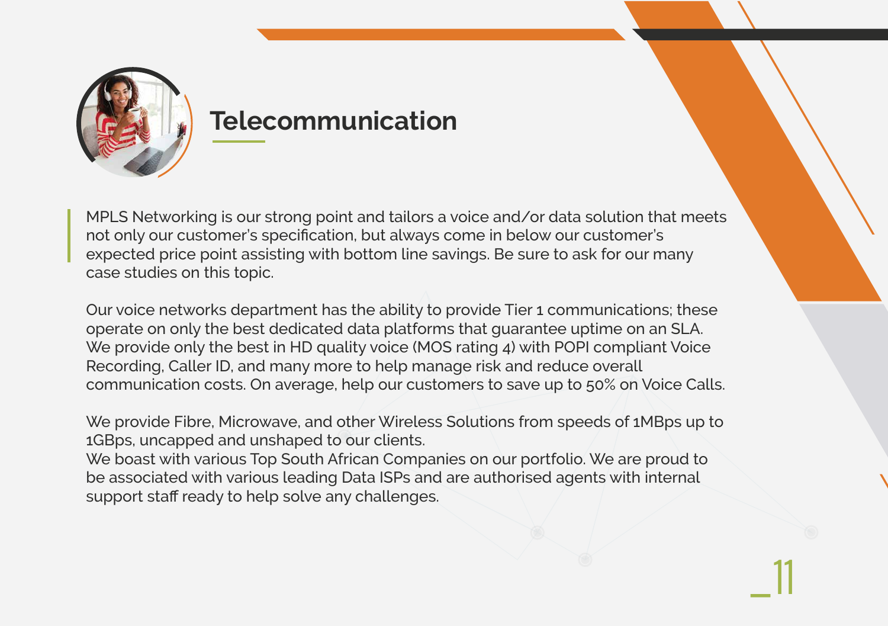

## **Telecommunication**

MPLS Networking is our strong point and tailors a voice and/or data solution that meets not only our customer's specification, but always come in below our customer's expected price point assisting with bottom line savings. Be sure to ask for our many case studies on this topic.

Our voice networks department has the ability to provide Tier 1 communications; these operate on only the best dedicated data platforms that guarantee uptime on an SLA. We provide only the best in HD quality voice (MOS rating 4) with POPI compliant Voice Recording, Caller ID, and many more to help manage risk and reduce overall communication costs. On average, help our customers to save up to 50% on Voice Calls.

We provide Fibre, Microwave, and other Wireless Solutions from speeds of 1MBps up to 1GBps, uncapped and unshaped to our clients.

We boast with various Top South African Companies on our portfolio. We are proud to be associated with various leading Data ISPs and are authorised agents with internal support staff ready to help solve any challenges.

 $\_11$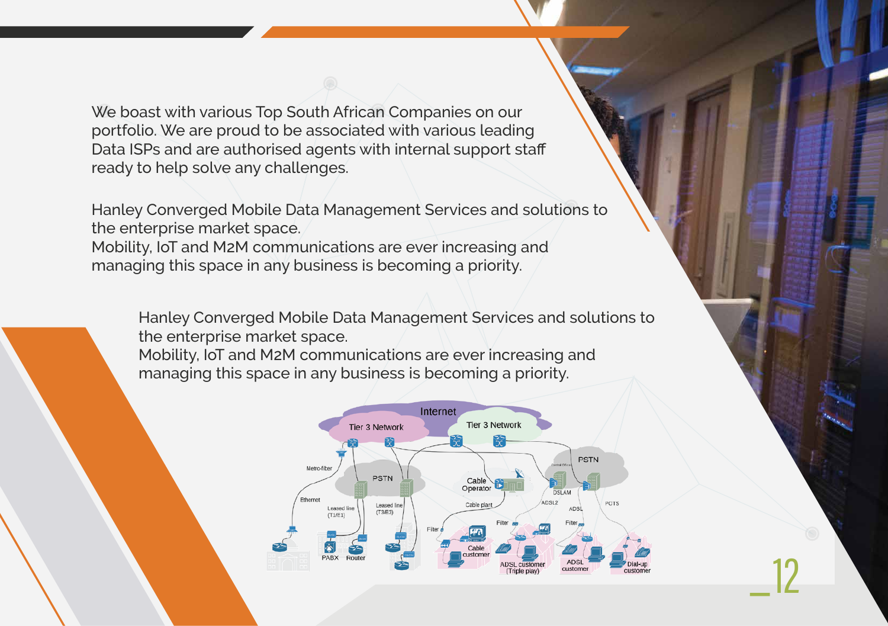

We boast with various Top South African Companies on our portfolio. We are proud to be associated with various leading Data ISPs and are authorised agents with internal support staff ready to help solve any challenges.

Hanley Converged Mobile Data Management Services and solutions to the enterprise market space.

Mobility, IoT and M2M communications are ever increasing and managing this space in any business is becoming a priority.

Hanley Converged Mobile Data Management Services and solutions to the enterprise market space.

Mobility, IoT and M2M communications are ever increasing and managing this space in any business is becoming a priority.

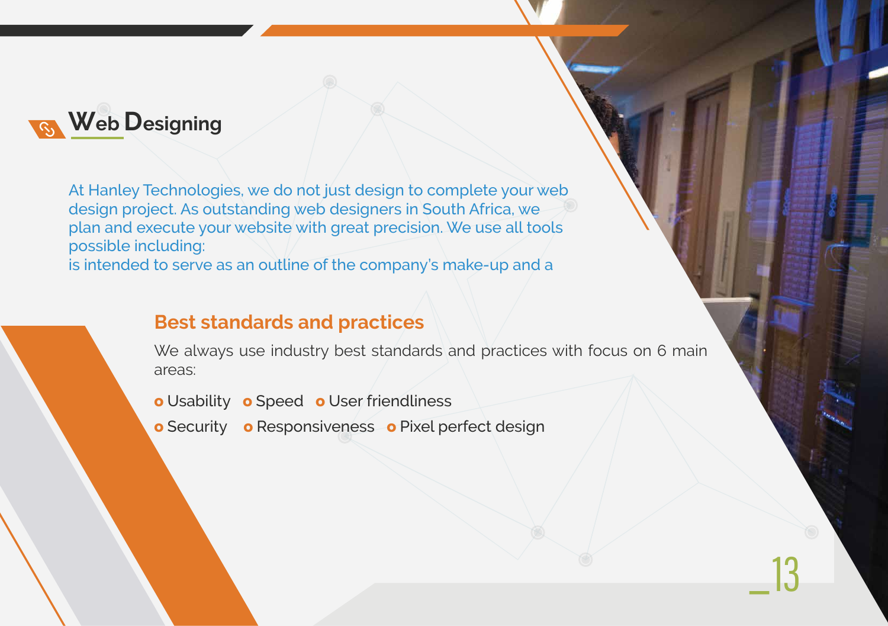

At Hanley Technologies, we do not just design to complete your web design project. As outstanding web designers in South Africa, we plan and execute your website with great precision. We use all tools possible including: is intended to serve as an outline of the company's make-up and a

> We always use industry best standards and practices with focus on 6 main areas:

#### **Best standards and practices**

- **o** Usability **o** Speed **o** User friendliness
- **o** Security **o** Responsiveness **o** Pixel perfect design

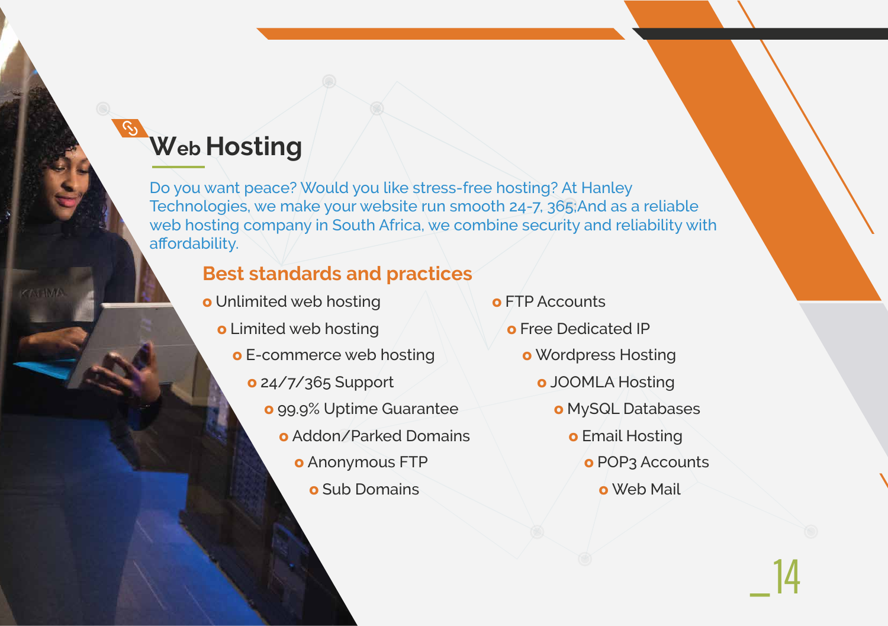

Do you want peace? Would you like stress-free hosting? At Hanley Technologies, we make your website run smooth 24-7, 365;And as a reliable web hosting company in South Africa, we combine security and reliability with affordability.

## **Web Hosting**

KATIMA

#### **Best standards and practices**

- **o** Unlimited web hosting
	- **o** Limited web hosting
		- **o** E-commerce web hosting
			- **o** 24/7/365 Support
				- **o** 99.9% Uptime Guarantee
					- **o** Addon/Parked Domains
						- **o** Anonymous FTP
							- **o** Sub Domains
- **o** FTP Accounts
	- **o** Free Dedicated IP
		- **o** Wordpress Hosting
			- **o** JOOMLA Hosting
				- **o** MySQL Databases
					- **o** Email Hosting
						- **o** POP3 Accounts
							- **o** Web Mail

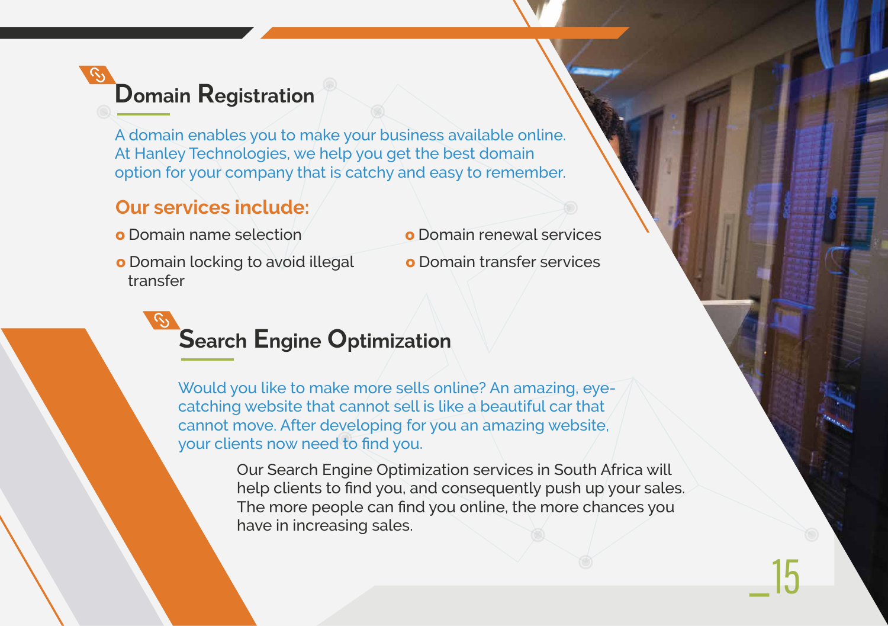

A domain enables you to make your business available online. At Hanley Technologies, we help you get the best domain option for your company that is catchy and easy to remember.

## **Domain Registration**

#### **Our services include:**

- **o** Domain name selection
- **o** Domain locking to avoid illegal transfer
- **o** Domain renewal services
- **o** Domain transfer services

Would you like to make more sells online? An amazing, eyecatching website that cannot sell is like a beautiful car that cannot move. After developing for you an amazing website, your clients now need to find you.

### **Search Engine Optimization**

Our Search Engine Optimization services in South Africa will help clients to find you, and consequently push up your sales. The more people can find you online, the more chances you have in increasing sales.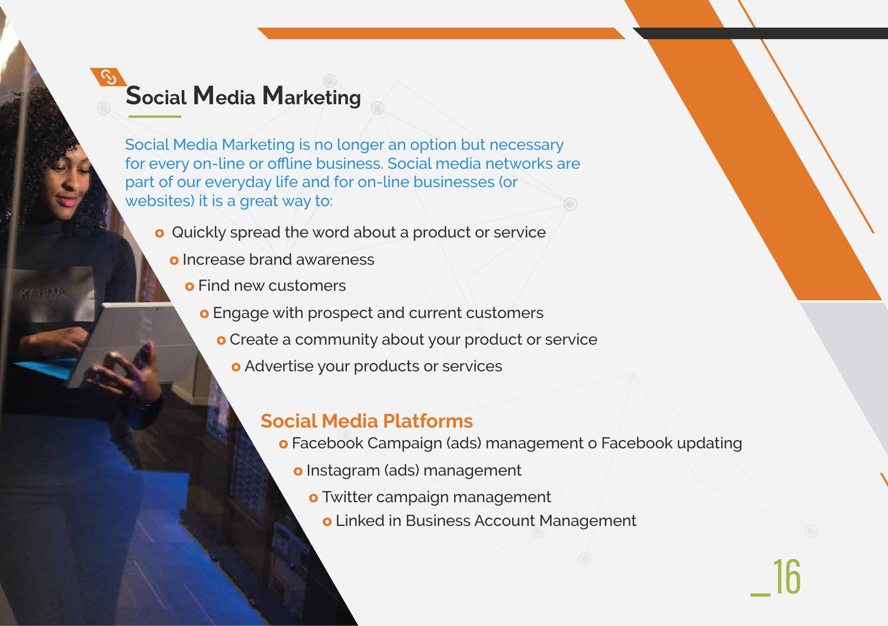$\frac{1}{\pi}$  but over you in the more set  $\frac{1}{\pi}$  and  $\frac{1}{\pi}$  $\epsilon$ catic that cannot sell is like a beautiful cannot sell is like a beautiful car that  $\epsilon$ **Social Media Marketing** Social Media Marketing is no longer an option but necessary for every on-line or offline business. Social media networks are part of our everyday life and for on-line businesses (or websites) it is a great way to:



- **o** Quickly spread the word about a product or service
	- your clients now need to find you. **o** Increase brand awareness
		- **o** Find new customers

KATIMA

## **Social Media Marketing**

- **o** Engage with prospect and current customers
	- **o** Create a community about your product or service
		- **o** Advertise your products or services

#### **Social Media Platforms**

- **o** Facebook Campaign (ads) management o Facebook updating
	- **o** Instagram (ads) management
		- **o** Twitter campaign management
			- **o** Linked in Business Account Management

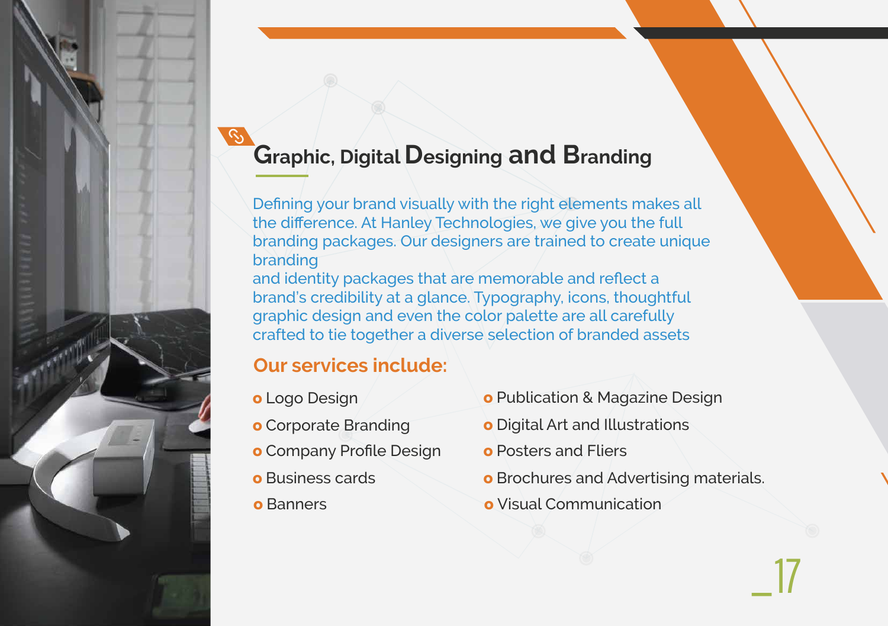$W = \sum_{\alpha} \alpha_{\alpha}$  $\mathcal{C}$  cannot we be a beautiful called that cannot see that can be a beautiful care that the sell is like a beautiful care that the sell is like a beautiful care that the sell is a beautiful care that the sell is a cont can be directed at an american and thoughts, we give **your clients of the find your clients of the find you.** Defining your brand visually with the right elements makes all the difference. At Hanley Technologies, we give you the full branding packages. Our designers are trained to create unique branding

#### **Social Media Marketing Graphic, Digital Designing and Branding**

and identity packages that are memorable and reflect a brand's credibility at a glance. Typography, icons, thoughtful graphic design and even the color palette are all carefully crafted to tie together a diverse selection of branded assets

#### **Our services include:**

- **o** Logo Design
- **o** Corporate Branding
- **o** Company Profile Design
- **o** Business cards
- **o** Banners
- **o** Publication & Magazine Design
- **o** Digital Art and Illustrations
- **o** Posters and Fliers
- **o** Brochures and Advertising materials.
- **o** Visual Communication



 $\_17$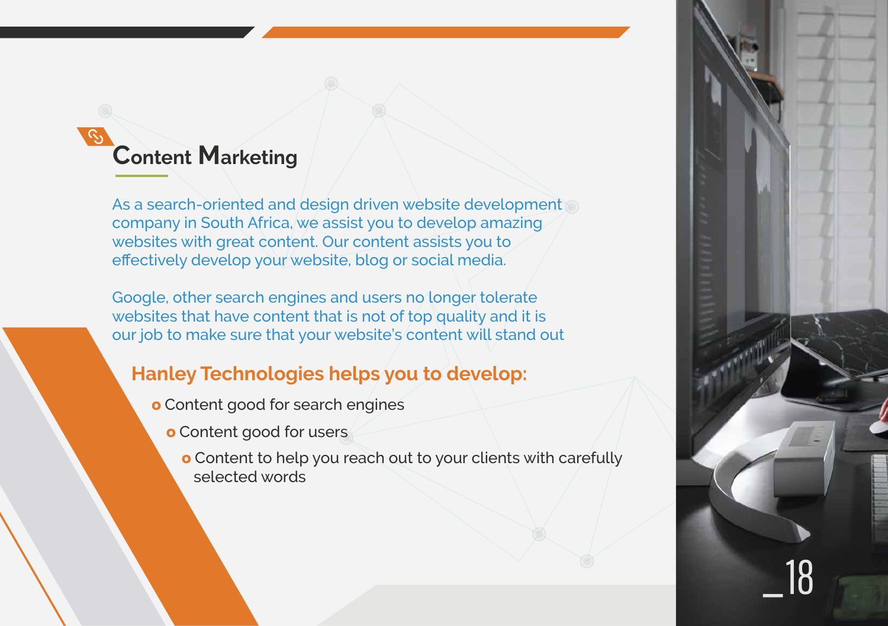

As a search-oriented and design driven website development company in South Africa, we assist you to develop amazing websites with great content. Our content assists you to effectively develop your website, blog or social media.

Google, other search engines and users no longer tolerate websites that have content that is not of top quality and it is our job to make sure that your website's content will stand out

## **Content Marketing**

#### **Hanley Technologies helps you to develop:**

- **o** Content good for search engines
	- **o** Content good for users
		- **o** Content to help you reach out to your clients with carefully selected words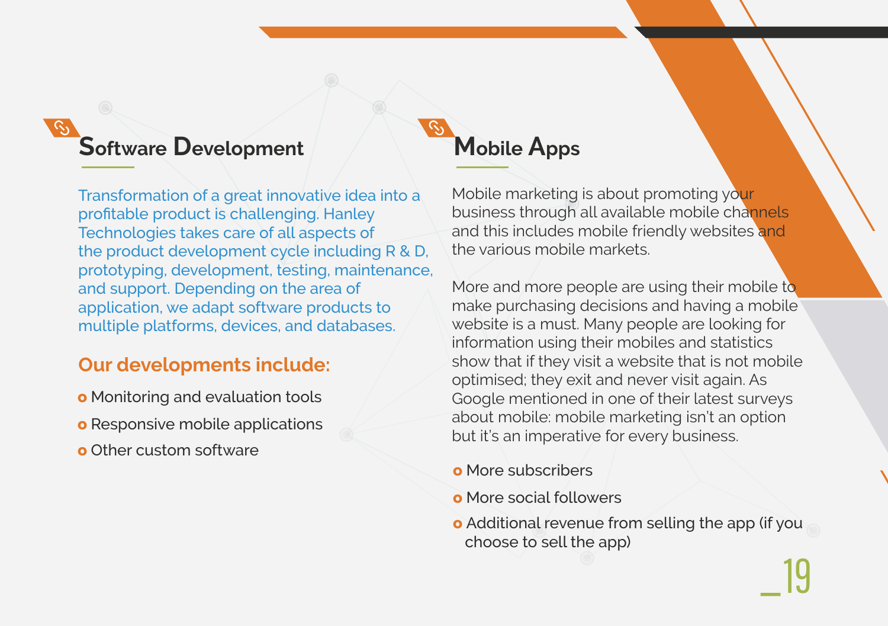## **Software Development Mobile Apps**

 $\ket{\mathbb{Q}}$ 

\_

Transformation of a great innovative idea into a profitable product is challenging. Hanley Technologies takes care of all aspects of the product development cycle including R & D, prototyping, development, testing, maintenance, and support. Depending on the area of application, we adapt software products to multiple platforms, devices, and databases.

Mobile marketing is about promoting your business through all available mobile channels and this includes mobile friendly websites and the various mobile markets.

#### **Our developments include:**

- **o** Monitoring and evaluation tools
- **o** Responsive mobile applications
- **o** Other custom software

- **o** More subscribers
- **o** More social followers
- **o** Additional revenue from selling the app (if you choose to sell the app)

More and more people are using their mobile to make purchasing decisions and having a mobile website is a must. Many people are looking for information using their mobiles and statistics show that if they visit a website that is not mobile optimised; they exit and never visit again. As Google mentioned in one of their latest surveys about mobile: mobile marketing isn't an option but it's an imperative for every business.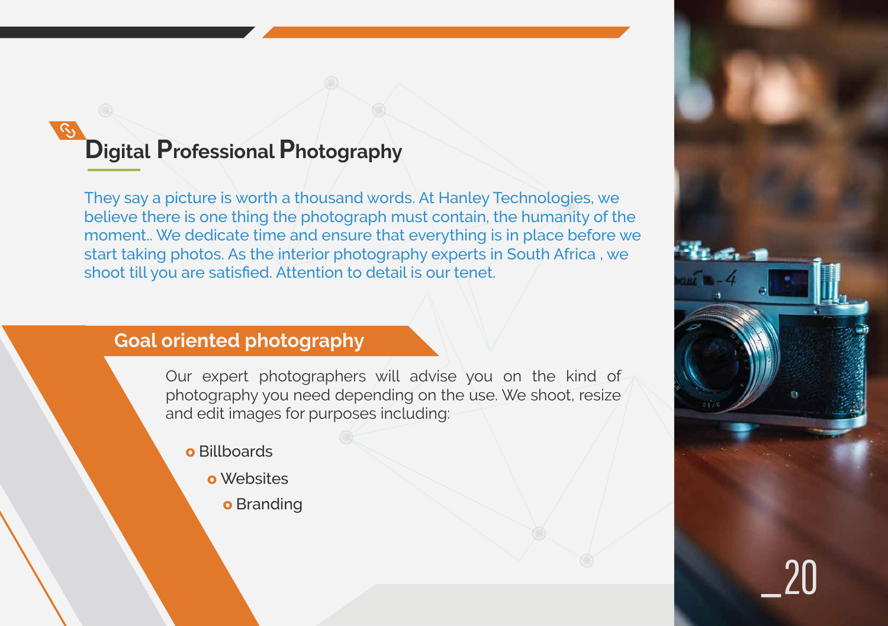

They say a picture is worth a thousand words. At Hanley Technologies, we believe there is one thing the photograph must contain, the humanity of the moment.. We dedicate time and ensure that everything is in place before we start taking photos. As the interior photography experts in South Africa , we shoot till you are satisfied. Attention to detail is our tenet.

### **Digital Professional Photography**

- **o** Billboards
	- **o** Websites
		- **o** Branding

Our expert photographers will advise you on the kind of photography you need depending on the use. We shoot, resize and edit images for purposes including:

#### **Goal oriented photography**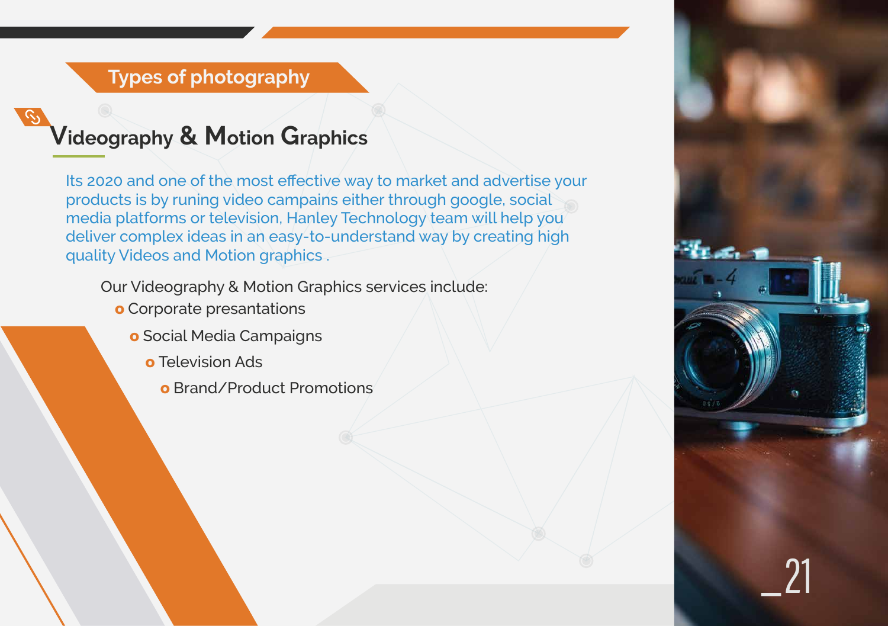

Our Videography & Motion Graphics services include:

- **o** Corporate presantations
	- **o** Social Media Campaigns
		- **o** Television Ads
			- **o** Brand/Product Promotions

#### **Types of photography**

### **Videography & Motion Graphics**

Its 2020 and one of the most effective way to market and advertise your products is by runing video campains either through google, social media platforms or television, Hanley Technology team will help you deliver complex ideas in an easy-to-understand way by creating high quality Videos and Motion graphics .